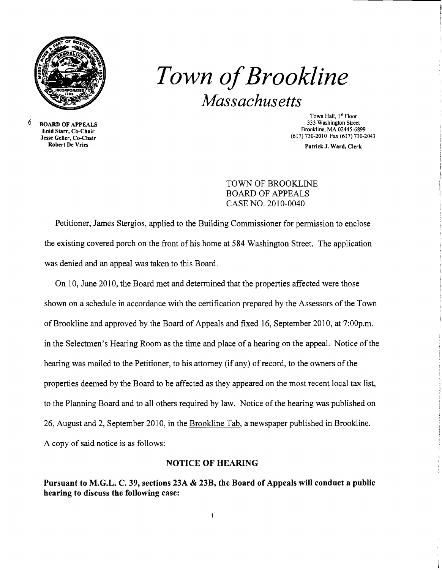

*Town ofBrookline Massachusetts* 

6 BOARD OF APPEALS Enid Starr, Co-Chair Jesse Geller, Co-Chair Robert De Vries

Town Hall, 1" Floor 333 Washington Street Brookline, MA 02445-6899 (617)730-2010 Fax (617)730-2043

Patrick J. Ward, Clerk

TOWN OF BROOKLINE BOARD OF APPEALS CASE NO. 2010-0040

Petitioner, James Stergios, applied to the Building Commissioner for permission to enclose the existing covered porch on the front of his home at 584 Washington Street. The application was denied and an appeal was taken to this Board.

On 10, June 2010, the Board met and determined that the properties affected were those shown on a schedule in accordance with the certification prepared by the Assessors of the Town of Brookline and approved by the Board of Appeals and fixed 16, September 2010, at 7:00p.m. in the Selectmen's Hearing Room as the time and place of a hearing on the appeal. Notice of the hearing was mailed to the Petitioner, to his attorney (if any) of record, to the owners of the properties deemed by the Board to be affected as they appeared on the most recent local tax list, to the Planning Board and to all others required by law. Notice of the hearing was published on 26, August and 2, September 2010, in the Brookline Tab, a newspaper published in Brookline. A copy of said notice is as follows:

## NOTICE OF HEARING

Pursuant to M.G.L. C. 39, sections 23A & 23B, the Board of Appeals will conduct a public hearing to discuss the following case: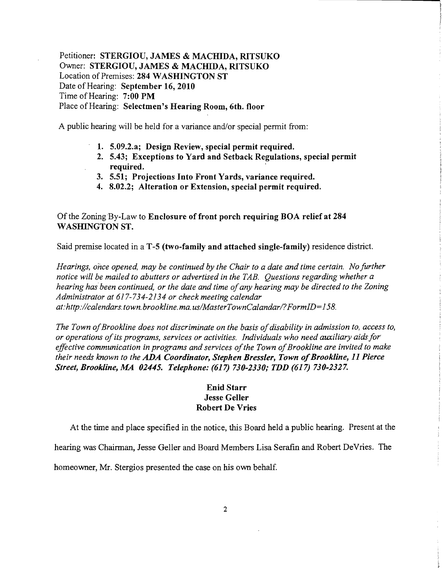Petitioner: STERGIOU, JAMES & MACHIDA, RITSUKO Owner: STERGIOU, JAMES & MACHIDA, RITSUKO Location of Premises: 284 WASHINGTON ST Date of Hearing: September 16, 2010 Time of Hearing: 7:00 PM Place of Hearing: Selectmen's Hearing Room, 6th. floor

A public hearing will be held for a variance and/or special permit from:

- 1. 5.09.2.a; Design Review, special permit required.
- 2. 5.43; Exceptions to Yard and Setback Regulations, special permit required.
- 3. 5.51; Projections Into Front Yards, variance required.
- 4. 8.02.2; Alteration or Extension, special permit required.

## Of the Zoning By-Law to Enclosure of front porch requiring BOA relief at 284 WASHINGTON ST.

Said premise located in a T-5 (two-family and attached single-family) residence district.

*Hearings, once opened, may be continued by the Chair to a date and time certain. No further notice will be mailed to abutters or advertised in the TAB. Questions regarding whether a hearing has been continued, or the date and time ofany hearing may be directed to the Zoning Administrator at* 617-734-2134 *or check meeting calendar at:http://calendars.town.brookline.ma.usIMasterTownCalandarl?FormID=158.* 

The Town of Brookline does not discriminate on the basis of disability in admission to, access to, *or operations ofits programs, services or activities. Individuals who need auxiliary aids for*  effective communication in programs and services of the Town of Brookline are invited to make *their needs known to the* ADA *Coordinator, Stephen Bressler, Town ofBrookline,* 11 *Pierce Street, Brookline, MA 02445. Telephone:* (617) *730-2330,' TDD* (617) *730-2327.* 

## Enid Starr Jesse Geller Robert De Vries

At the time and place specified in the notice, this Board held a public hearing. Present at the

hearing was Chairman, Jesse Geller and Board Members Lisa Serafm and Robert DeVries. The

homeowner, Mr. Stergios presented the case on his own behalf.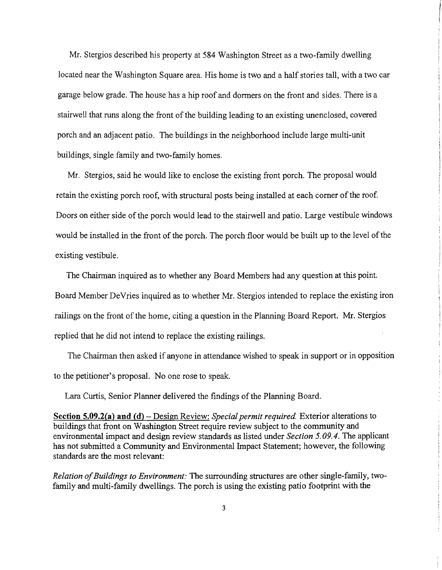Mr. Stergios described his property at 584 Washington Street as a two-family dwelling located near the Washington Square area. His home is two and a half stories tall, with a two car garage below grade. The house has a hip roof and dormers on the front and sides. There is a stairwell that runs along the front of the building leading to an existing unenclosed, covered porch and an adjacent patio. The buildings in the neighborhood include large multi-unit buildings, single family and two-family homes.

Mr. Stergios, said he would like to enclose the existing front porch. The proposal would retain the existing porch roof, with structural posts being installed at each corner of the roof. Doors on either side of the porch would lead to the stairwell and patio. Large vestibule windows would be installed in the front of the porch. The porch floor would be built up to the level of the existing vestibule.

The Chairman inquired as to whether any Board Members had any question at this point. Board Member DeVries inquired as to whether Mr. Stergios intended to replace the existing iron railings on the front of the home, citing a question in the Planning Board Report. Mr. Stergios replied that he did not intend to replace the existing railings.

The Chairman then asked if anyone in attendance wished to speak in support or in opposition to the petitioner's proposal. No one rose to speak.

Lara Curtis, Senior Planner delivered the findings of the Planning Board.

**Section 5.09.2(a) and (d)** – Design Review: *Special permit required.* Exterior alterations to buildings that front on Washington Street require review subject to the community and environmental impact and design review standards as listed under *Section 5.09.4.* The applicant has not submitted a Community and Environmental Impact Statement; however, the following standards are the most relevant:

*Relation ofBuildings to Environment:* The surrounding structures are other single-family, two family and multi-family dwellings. The porch is using the existing patio footprint with the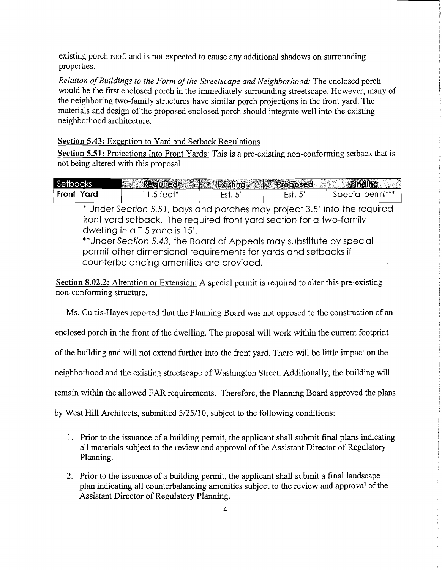existing porch roof, and is not expected to cause any additional shadows on surrounding properties.

*Relation of Buildings to the Form of the Streetscape and Neighborhood: The enclosed porch* would be the first enclosed porch in the immediately surrounding streetscape. However, many of the neighboring two-family structures have similar porch projections in the front yard. The materials and design of the proposed enclosed porch should integrate well into the existing neighborhood architecture.

## **Section 5.43:** Exception to Yard and Setback Regulations.

**Section 5.51:** Projections Into Front Yards: This is a pre-existing non-conforming setback that is not being altered with this proposal.

| <b>Setbacks</b> | Required Existing Proposed Ending |        |         |                         |
|-----------------|-----------------------------------|--------|---------|-------------------------|
| Front Yard      | l 1.5 feet*                       | Est. 5 | Est. 5' | <b>Special permit**</b> |

\* Under Section 5.51, bays and porches may project 3.5' into the required front yard setback. The reaujred front yard section for a two-family dwelling in a T-5 zone is 15'.

\*\*Under Section 5.43, the Board of Appeals may substitute by special permit other dimensional requirements for yards and setbacks if counterbalancing amenities are provided.

**Section 8.02.2:** Alteration or Extension: A special permit is required to alter this pre-existing non-conforming structure.

Ms. Curtis-Hayes reported that the Planning Board was not opposed to the construction of an

enclosed porch in the front of the dwelling. The proposal will work within the current footprint

ofthe building and will not extend further into the front yard. There will be little impact on the

neighborhood and the existing streetscape of Washington Street. Additionally, the building will

remain within the allowed FAR requirements. Therefore, the Planning Board approved the plans

by West Hill Architects, submitted  $5/25/10$ , subject to the following conditions:

- 1. Prior to the issuance of a building permit, the applicant shall submit final plans indicating all materials subject to the review and approval of the Assistant Director of Regulatory Planning.
- 2. Prior to the issuance of a building permit, the applicant shall submit a final landscape plan indicating all counterbalancing amenities subject to the review and approval of the Assistant Director of Regulatory Planning.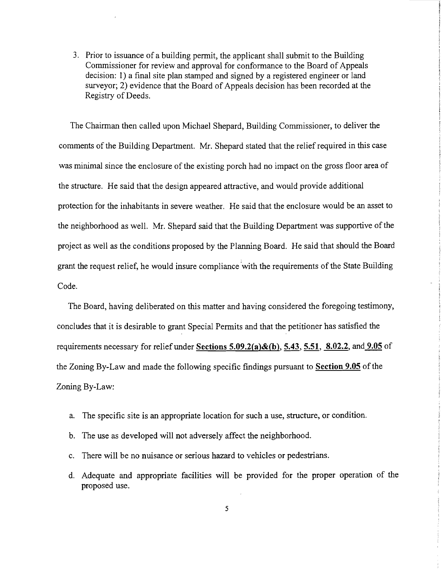3. Prior to issuance of a building permit, the applicant shall submit to the Building Commissioner for review and approval for conformance to the Board of Appeals decision: 1) a final site plan stamped and signed by a registered engineer or land surveyor; 2) evidence that the Board of Appeals decision has been recorded at the Registry of Deeds.

The Chairman then called upon Michael Shepard, Building Commissioner, to deliver the comments of the Building Department. Mr. Shepard stated that the relief required in this case was minimal since the enclosure of the existing porch had no impact on the gross floor area of the structure. He said that the design appeared attractive, and would provide additional protection for the inhabitants in severe weather. He said that the enclosure would be an asset to the neighborhood as well. Mr. Shepard said that the Building Department was supportive of the project as well as the conditions proposed by the Planning Board. He said that should the Board grant the request relief, he would insure compliance 'with the requirements of the State Building Code.

The Board, having deliberated on this matter and having considered the foregoing testimony, concludes that it is desirable to grant Special Pennits and that the petitioner has satisfied the requirements necessary for relief under **Sections 5.09.2(a)&(b), 5.43, 5.51, 8.02.2,** and **9.05 of**  the Zoning By-Law and made the following specific findings pursuant to **Section 9.05** of the Zoning By-Law:

- a. The specific site is an appropriate location for such a use, structure, or condition.
- b. The use as developed will not adversely affect the neighborhood.
- c. There will be no nuisance or serious hazard to vehicles or pedestrians.
- d. Adequate and appropriate facilities will be provided for the proper operation of the proposed use.

5